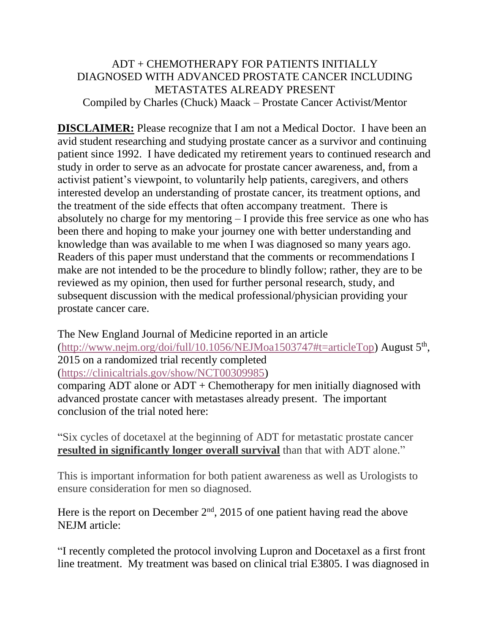## ADT + CHEMOTHERAPY FOR PATIENTS INITIALLY DIAGNOSED WITH ADVANCED PROSTATE CANCER INCLUDING METASTATES ALREADY PRESENT Compiled by Charles (Chuck) Maack – Prostate Cancer Activist/Mentor

**DISCLAIMER:** Please recognize that I am not a Medical Doctor. I have been an avid student researching and studying prostate cancer as a survivor and continuing patient since 1992. I have dedicated my retirement years to continued research and study in order to serve as an advocate for prostate cancer awareness, and, from a activist patient's viewpoint, to voluntarily help patients, caregivers, and others interested develop an understanding of prostate cancer, its treatment options, and the treatment of the side effects that often accompany treatment. There is absolutely no charge for my mentoring – I provide this free service as one who has been there and hoping to make your journey one with better understanding and knowledge than was available to me when I was diagnosed so many years ago. Readers of this paper must understand that the comments or recommendations I make are not intended to be the procedure to blindly follow; rather, they are to be reviewed as my opinion, then used for further personal research, study, and subsequent discussion with the medical professional/physician providing your prostate cancer care.

The New England Journal of Medicine reported in an article [\(http://www.nejm.org/doi/full/10.1056/NEJMoa1503747#t=articleTop\)](http://www.nejm.org/doi/full/10.1056/NEJMoa1503747#t=articleTop) August 5<sup>th</sup>, 2015 on a randomized trial recently completed [\(https://clinicaltrials.gov/show/NCT00309985\)](https://clinicaltrials.gov/show/NCT00309985) comparing ADT alone or ADT + Chemotherapy for men initially diagnosed with advanced prostate cancer with metastases already present. The important

conclusion of the trial noted here:

"Six cycles of docetaxel at the beginning of ADT for metastatic prostate cancer **resulted in significantly longer overall survival** than that with ADT alone."

This is important information for both patient awareness as well as Urologists to ensure consideration for men so diagnosed.

Here is the report on December  $2<sup>nd</sup>$ , 2015 of one patient having read the above NEJM article:

"I recently completed the protocol involving Lupron and Docetaxel as a first front line treatment. My treatment was based on clinical trial E3805. I was diagnosed in